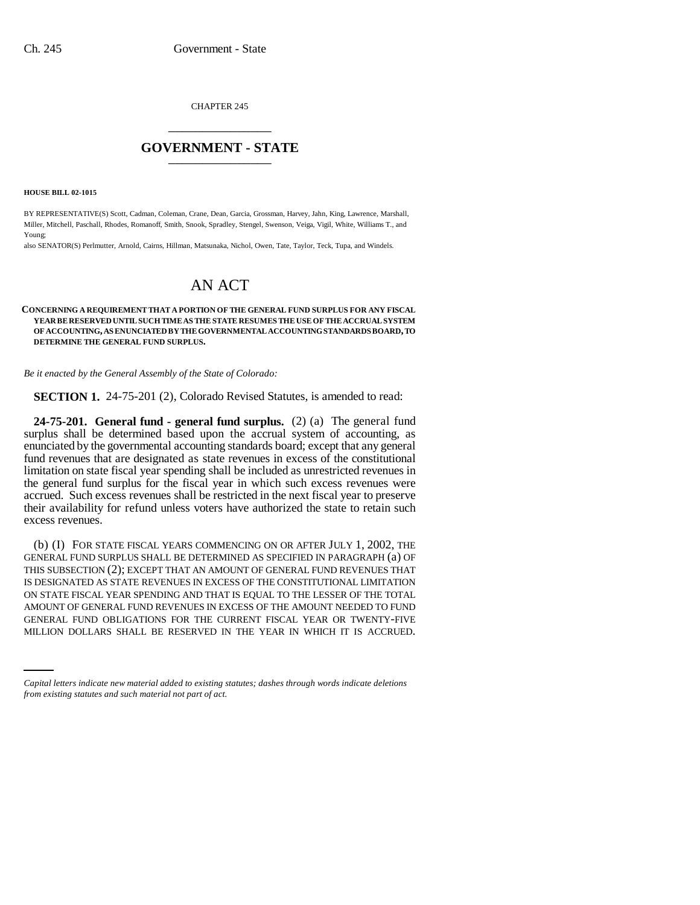CHAPTER 245 \_\_\_\_\_\_\_\_\_\_\_\_\_\_\_

## **GOVERNMENT - STATE** \_\_\_\_\_\_\_\_\_\_\_\_\_\_\_

**HOUSE BILL 02-1015**

BY REPRESENTATIVE(S) Scott, Cadman, Coleman, Crane, Dean, Garcia, Grossman, Harvey, Jahn, King, Lawrence, Marshall, Miller, Mitchell, Paschall, Rhodes, Romanoff, Smith, Snook, Spradley, Stengel, Swenson, Veiga, Vigil, White, Williams T., and Young;

also SENATOR(S) Perlmutter, Arnold, Cairns, Hillman, Matsunaka, Nichol, Owen, Tate, Taylor, Teck, Tupa, and Windels.

## AN ACT

## **CONCERNING A REQUIREMENT THAT A PORTION OF THE GENERAL FUND SURPLUS FOR ANY FISCAL YEAR BE RESERVED UNTIL SUCH TIME AS THE STATE RESUMES THE USE OF THE ACCRUAL SYSTEM OF ACCOUNTING, AS ENUNCIATED BY THE GOVERNMENTAL ACCOUNTING STANDARDS BOARD, TO DETERMINE THE GENERAL FUND SURPLUS.**

*Be it enacted by the General Assembly of the State of Colorado:*

**SECTION 1.** 24-75-201 (2), Colorado Revised Statutes, is amended to read:

**24-75-201. General fund - general fund surplus.** (2) (a) The general fund surplus shall be determined based upon the accrual system of accounting, as enunciated by the governmental accounting standards board; except that any general fund revenues that are designated as state revenues in excess of the constitutional limitation on state fiscal year spending shall be included as unrestricted revenues in the general fund surplus for the fiscal year in which such excess revenues were accrued. Such excess revenues shall be restricted in the next fiscal year to preserve their availability for refund unless voters have authorized the state to retain such excess revenues.

AMOUNT OF GENERAL FUND REVENUES IN EXCESS OF THE AMOUNT NEEDED TO FUND<br>GENERAL FUND ON IGATIONS FOR THE GURDENT FISCAL YEAR OR TWENTY FIVE (b) (I) FOR STATE FISCAL YEARS COMMENCING ON OR AFTER JULY 1, 2002, THE GENERAL FUND SURPLUS SHALL BE DETERMINED AS SPECIFIED IN PARAGRAPH (a) OF THIS SUBSECTION (2); EXCEPT THAT AN AMOUNT OF GENERAL FUND REVENUES THAT IS DESIGNATED AS STATE REVENUES IN EXCESS OF THE CONSTITUTIONAL LIMITATION ON STATE FISCAL YEAR SPENDING AND THAT IS EQUAL TO THE LESSER OF THE TOTAL GENERAL FUND OBLIGATIONS FOR THE CURRENT FISCAL YEAR OR TWENTY-FIVE MILLION DOLLARS SHALL BE RESERVED IN THE YEAR IN WHICH IT IS ACCRUED.

*Capital letters indicate new material added to existing statutes; dashes through words indicate deletions from existing statutes and such material not part of act.*